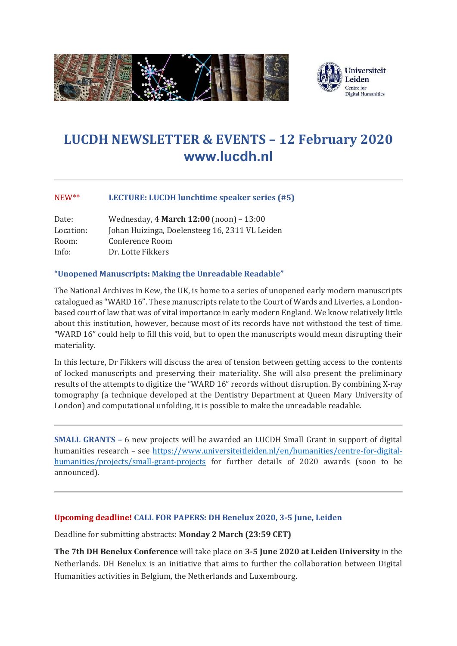

# **LUCDH NEWSLETTER & EVENTS – 12 February 2020 [www.lucdh.nl](http://www.lucdh.nl/)**

## NEW\*\* **LECTURE: LUCDH lunchtime speaker series (#5)**

| Date:     | Wednesday, 4 March 12:00 (noon) - 13:00        |
|-----------|------------------------------------------------|
| Location: | Johan Huizinga, Doelensteeg 16, 2311 VL Leiden |
| Room:     | Conference Room                                |
| Info:     | Dr. Lotte Fikkers                              |

## **"Unopened Manuscripts: Making the Unreadable Readable"**

The National Archives in Kew, the UK, is home to a series of unopened early modern manuscripts catalogued as "WARD 16". These manuscripts relate to the Court of Wards and Liveries, a Londonbased court of law that was of vital importance in early modern England. We know relatively little about this institution, however, because most of its records have not withstood the test of time. "WARD 16" could help to fill this void, but to open the manuscripts would mean disrupting their materiality.

In this lecture, Dr Fikkers will discuss the area of tension between getting access to the contents of locked manuscripts and preserving their materiality. She will also present the preliminary results of the attempts to digitize the "WARD 16" records without disruption. By combining X-ray tomography (a technique developed at the Dentistry Department at Queen Mary University of London) and computational unfolding, it is possible to make the unreadable readable.

**SMALL GRANTS –** 6 new projects will be awarded an LUCDH Small Grant in support of digital humanities research – see [https://www.universiteitleiden.nl/en/humanities/centre-for-digital](https://www.universiteitleiden.nl/en/humanities/centre-for-digital-humanities/projects/small-grant-projects)[humanities/projects/small-grant-projects](https://www.universiteitleiden.nl/en/humanities/centre-for-digital-humanities/projects/small-grant-projects) for further details of 2020 awards (soon to be announced).

## **Upcoming deadline! CALL FOR PAPERS: DH Benelux 2020, 3-5 June, Leiden**

Deadline for submitting abstracts: **Monday 2 March (23:59 CET)**

**The 7th DH Benelux Conference** will take place on **3-5 June 2020 at Leiden University** in the Netherlands. DH Benelux is an initiative that aims to further the collaboration between Digital Humanities activities in Belgium, the Netherlands and Luxembourg.